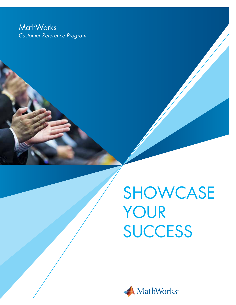## **MathWorks** *Customer Reference Program*

SHOWCASE YOUR **SUCCESS** 

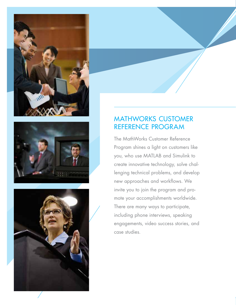





#### MATHWORKS CUSTOMER REFERENCE PROGRAM

The MathWorks Customer Reference Program shines a light on customers like you, who use MATLAB and Simulink to create innovative technology, solve challenging technical problems, and develop new approaches and workflows. We invite you to join the program and promote your accomplishments worldwide. There are many ways to participate, including phone interviews, speaking engagements, video success stories, and case studies.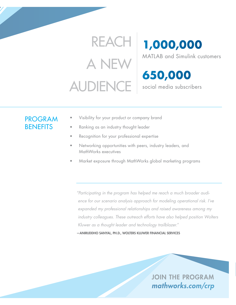# REACH A NEW AUDIENCE

**1,000,000**

MATLAB and Simulink customers

**650,000** social media subscribers

## PROGRAM **BENEFITS**

- Visibility for your product or company brand
- Ranking as an industry thought leader
- Recognition for your professional expertise
- Networking opportunities with peers, industry leaders, and MathWorks executives
- Market exposure through MathWorks global marketing programs

*"Participating in the program has helped me reach a much broader audience for our scenario analysis approach for modeling operational risk. I've expanded my professional relationships and raised awareness among my industry colleagues. These outreach efforts have also helped position Wolters Kluwer as a thought leader and technology trailblazer."* 

—ANIRUDDHO SANYAL, PH.D., WOLTERS KLUWER FINANCIAL SERVICES

JOIN THE PROGRAM *mathworks.com/crp*